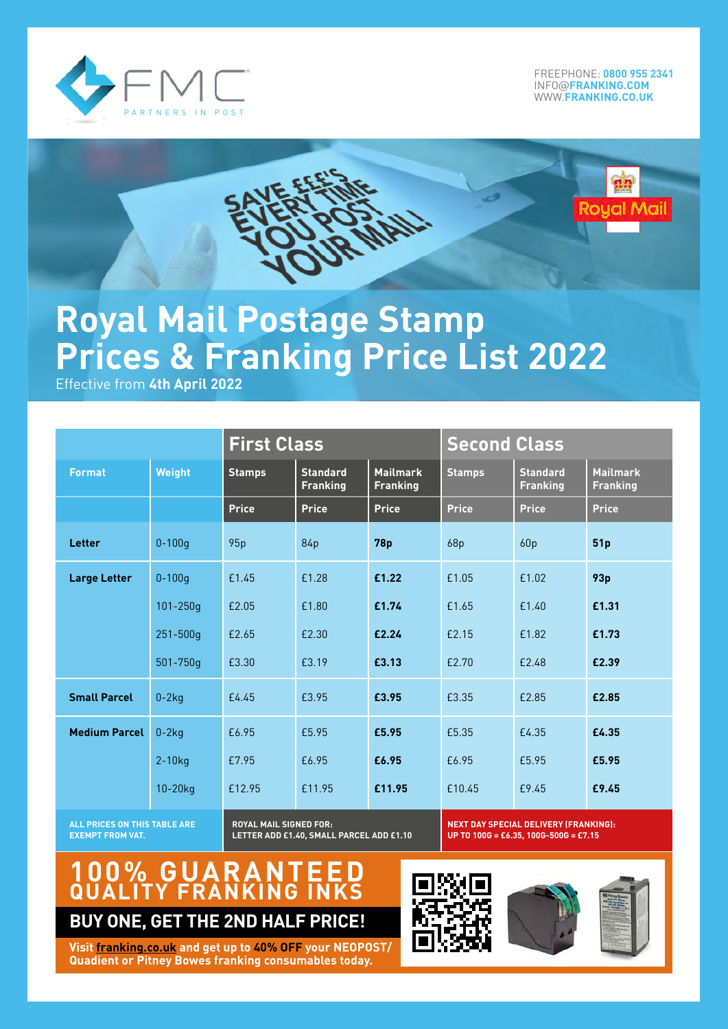

FREEPHONE: **[0800 955 2341](tel:08009552341)** INFO@**[FRANKING.COM](mailto:INFO%40FRANKING.COM?subject=Mailmark%20Enquiry)** WWW.**[FRANKING.C](http://WWW.FRANKING.CO.UK)O.UK**

# ual Mail

# **Royal Mail Postage Stamp Prices & Franking Price List 2022**

Effective from **4th April 2022**

|                      |              | <b>First Class</b> |                                    |                                    | <b>Second Class</b> |                                    |                                    |
|----------------------|--------------|--------------------|------------------------------------|------------------------------------|---------------------|------------------------------------|------------------------------------|
| <b>Format</b>        | Weight       | <b>Stamps</b>      | <b>Standard</b><br><b>Franking</b> | <b>Mailmark</b><br><b>Franking</b> | <b>Stamps</b>       | <b>Standard</b><br><b>Franking</b> | <b>Mailmark</b><br><b>Franking</b> |
|                      |              | <b>Price</b>       | Price                              | <b>Price</b>                       | <b>Price</b>        | <b>Price</b>                       | <b>Price</b>                       |
| Letter               | $0 - 100q$   | 95p                | 84p                                | <b>78p</b>                         | 68p                 | 60p                                | 51p                                |
| <b>Large Letter</b>  | $0 - 100q$   | £1.45              | £1.28                              | £1.22                              | £1.05               | £1.02                              | 93p                                |
|                      | $101 - 250q$ | £2.05              | £1.80                              | £1.74                              | £1.65               | £1.40                              | £1.31                              |
|                      | $251 - 500q$ | £2.65              | £2.30                              | £2.24                              | £2.15               | £1.82                              | £1.73                              |
|                      | 501-750g     | £3.30              | £3.19                              | £3.13                              | £2.70               | £2.48                              | £2.39                              |
| <b>Small Parcel</b>  | $0-2kq$      | £4.45              | £3.95                              | £3.95                              | £3.35               | £2.85                              | £2.85                              |
| <b>Medium Parcel</b> | $0-2kq$      | £6.95              | £5.95                              | £5.95                              | £5.35               | £4.35                              | £4.35                              |
|                      | $2-10$ kg    | £7.95              | £6.95                              | £6.95                              | £6.95               | £5.95                              | £5.95                              |
|                      | 10-20kg      | £12.95             | £11.95                             | £11.95                             | £10.45              | £9.45                              | £9.45                              |

**ALL PRICES ON THIS TABLE ARE EXEMPT FROM VAT.**

**ROYAL MAIL SIGNED FOR: LETTER ADD £1.40, SMALL PARCEL ADD £1.10** **NEXT DAY SPECIAL DELIVERY (FRANKING): UP TO 100G = £6.35, 100G-500G = £7.15**

# **100% GUARANTEED QUALITY FRANKING INKS**

**BUY ONE, GET THE 2ND HALF PRICE!**







**Visit [franking.co](http://www.franking.co.uk).uk and get up to 40% OFF your NEOPOST/ Quadient or Pitney Bowes franking consumables today.**